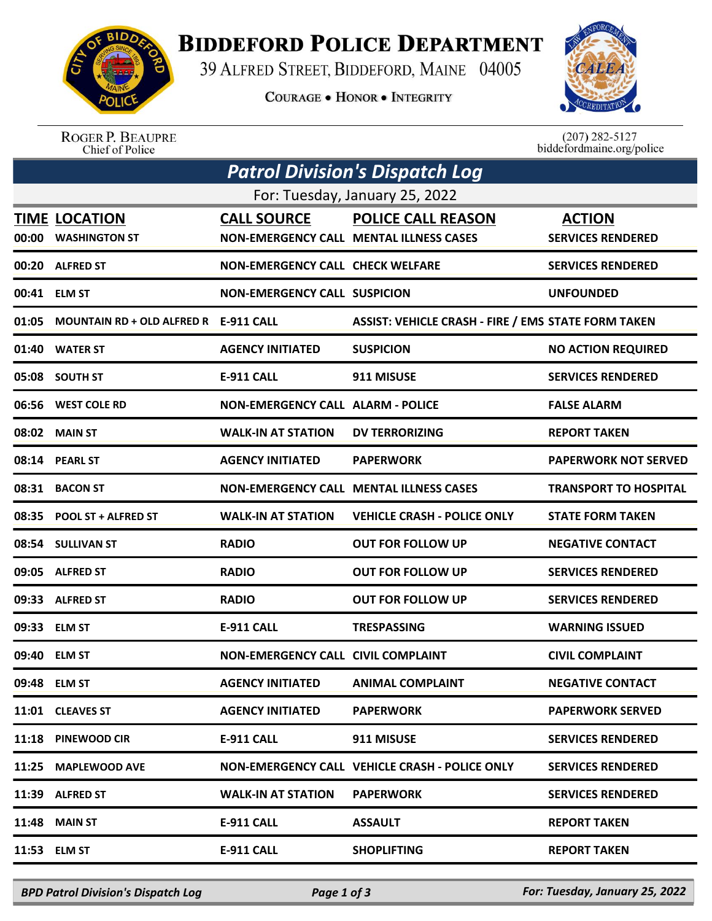

## **BIDDEFORD POLICE DEPARTMENT**

39 ALFRED STREET, BIDDEFORD, MAINE 04005

**COURAGE . HONOR . INTEGRITY** 



ROGER P. BEAUPRE<br>Chief of Police

 $(207)$  282-5127<br>biddefordmaine.org/police

| <b>Patrol Division's Dispatch Log</b> |                                       |                                           |                                                            |                              |  |  |  |  |
|---------------------------------------|---------------------------------------|-------------------------------------------|------------------------------------------------------------|------------------------------|--|--|--|--|
| For: Tuesday, January 25, 2022        |                                       |                                           |                                                            |                              |  |  |  |  |
|                                       | <b>TIME LOCATION</b>                  | <b>CALL SOURCE</b>                        | <b>POLICE CALL REASON</b>                                  | <b>ACTION</b>                |  |  |  |  |
| 00:00                                 | <b>WASHINGTON ST</b>                  |                                           | <b>NON-EMERGENCY CALL MENTAL ILLNESS CASES</b>             | <b>SERVICES RENDERED</b>     |  |  |  |  |
| 00:20                                 | <b>ALFRED ST</b>                      | <b>NON-EMERGENCY CALL CHECK WELFARE</b>   |                                                            | <b>SERVICES RENDERED</b>     |  |  |  |  |
|                                       | 00:41 ELM ST                          | <b>NON-EMERGENCY CALL SUSPICION</b>       |                                                            | <b>UNFOUNDED</b>             |  |  |  |  |
| 01:05                                 | MOUNTAIN RD + OLD ALFRED R E-911 CALL |                                           | <b>ASSIST: VEHICLE CRASH - FIRE / EMS STATE FORM TAKEN</b> |                              |  |  |  |  |
| 01:40                                 | <b>WATER ST</b>                       | <b>AGENCY INITIATED</b>                   | <b>SUSPICION</b>                                           | <b>NO ACTION REQUIRED</b>    |  |  |  |  |
|                                       | 05:08 SOUTH ST                        | <b>E-911 CALL</b>                         | 911 MISUSE                                                 | <b>SERVICES RENDERED</b>     |  |  |  |  |
|                                       | 06:56 WEST COLE RD                    | <b>NON-EMERGENCY CALL ALARM - POLICE</b>  |                                                            | <b>FALSE ALARM</b>           |  |  |  |  |
| 08:02                                 | <b>MAIN ST</b>                        | <b>WALK-IN AT STATION</b>                 | <b>DV TERRORIZING</b>                                      | <b>REPORT TAKEN</b>          |  |  |  |  |
|                                       | 08:14 PEARL ST                        | <b>AGENCY INITIATED</b>                   | <b>PAPERWORK</b>                                           | <b>PAPERWORK NOT SERVED</b>  |  |  |  |  |
| 08:31                                 | <b>BACON ST</b>                       |                                           | <b>NON-EMERGENCY CALL MENTAL ILLNESS CASES</b>             | <b>TRANSPORT TO HOSPITAL</b> |  |  |  |  |
| 08:35                                 | <b>POOL ST + ALFRED ST</b>            | <b>WALK-IN AT STATION</b>                 | <b>VEHICLE CRASH - POLICE ONLY</b>                         | <b>STATE FORM TAKEN</b>      |  |  |  |  |
|                                       | 08:54 SULLIVAN ST                     | <b>RADIO</b>                              | <b>OUT FOR FOLLOW UP</b>                                   | <b>NEGATIVE CONTACT</b>      |  |  |  |  |
| 09:05                                 | <b>ALFRED ST</b>                      | <b>RADIO</b>                              | <b>OUT FOR FOLLOW UP</b>                                   | <b>SERVICES RENDERED</b>     |  |  |  |  |
| 09:33                                 | <b>ALFRED ST</b>                      | <b>RADIO</b>                              | <b>OUT FOR FOLLOW UP</b>                                   | <b>SERVICES RENDERED</b>     |  |  |  |  |
| 09:33                                 | <b>ELM ST</b>                         | <b>E-911 CALL</b>                         | <b>TRESPASSING</b>                                         | <b>WARNING ISSUED</b>        |  |  |  |  |
| 09:40                                 | <b>ELM ST</b>                         | <b>NON-EMERGENCY CALL CIVIL COMPLAINT</b> |                                                            | <b>CIVIL COMPLAINT</b>       |  |  |  |  |
|                                       | 09:48 ELM ST                          | <b>AGENCY INITIATED</b>                   | <b>ANIMAL COMPLAINT</b>                                    | <b>NEGATIVE CONTACT</b>      |  |  |  |  |
|                                       | 11:01 CLEAVES ST                      | <b>AGENCY INITIATED</b>                   | <b>PAPERWORK</b>                                           | <b>PAPERWORK SERVED</b>      |  |  |  |  |
| 11:18                                 | PINEWOOD CIR                          | E-911 CALL                                | 911 MISUSE                                                 | <b>SERVICES RENDERED</b>     |  |  |  |  |
| 11:25                                 | <b>MAPLEWOOD AVE</b>                  |                                           | NON-EMERGENCY CALL VEHICLE CRASH - POLICE ONLY             | <b>SERVICES RENDERED</b>     |  |  |  |  |
| 11:39                                 | <b>ALFRED ST</b>                      | <b>WALK-IN AT STATION</b>                 | <b>PAPERWORK</b>                                           | <b>SERVICES RENDERED</b>     |  |  |  |  |
| 11:48                                 | <b>MAIN ST</b>                        | <b>E-911 CALL</b>                         | <b>ASSAULT</b>                                             | <b>REPORT TAKEN</b>          |  |  |  |  |
|                                       | 11:53 ELM ST                          | <b>E-911 CALL</b>                         | <b>SHOPLIFTING</b>                                         | <b>REPORT TAKEN</b>          |  |  |  |  |
|                                       |                                       |                                           |                                                            |                              |  |  |  |  |

*BPD Patrol Division's Dispatch Log Page 1 of 3 For: Tuesday, January 25, 2022*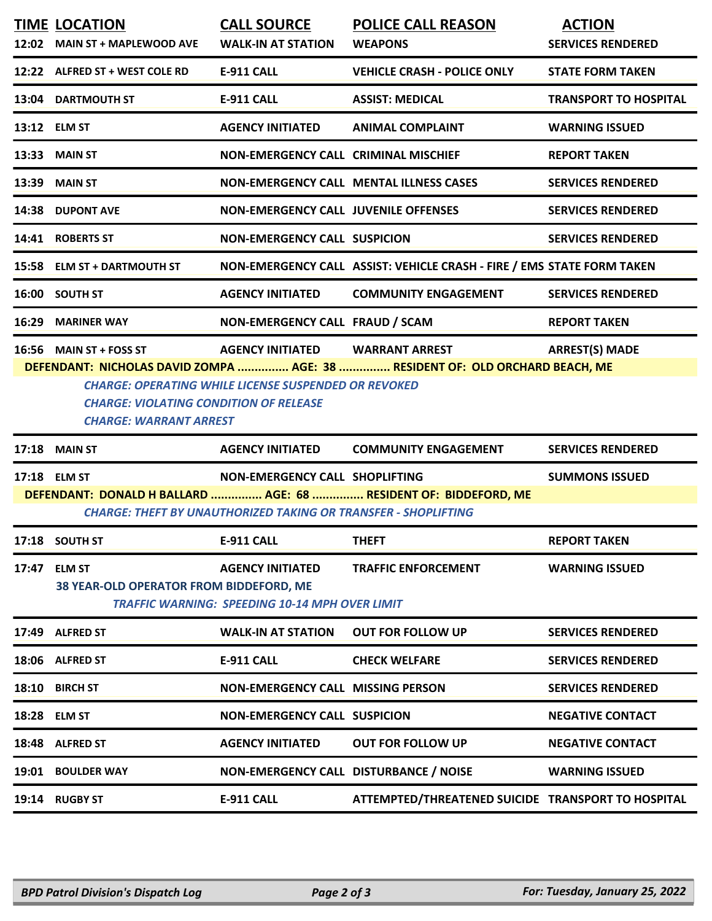|       | <b>TIME LOCATION</b><br>12:02 MAIN ST + MAPLEWOOD AVE                          | <b>CALL SOURCE</b><br><b>WALK-IN AT STATION</b>                                  | <b>POLICE CALL REASON</b><br><b>WEAPONS</b>                                  | <b>ACTION</b><br><b>SERVICES RENDERED</b> |
|-------|--------------------------------------------------------------------------------|----------------------------------------------------------------------------------|------------------------------------------------------------------------------|-------------------------------------------|
|       | 12:22 ALFRED ST + WEST COLE RD                                                 | <b>E-911 CALL</b>                                                                | <b>VEHICLE CRASH - POLICE ONLY</b>                                           | <b>STATE FORM TAKEN</b>                   |
|       | 13:04 DARTMOUTH ST                                                             | <b>E-911 CALL</b>                                                                | <b>ASSIST: MEDICAL</b>                                                       | <b>TRANSPORT TO HOSPITAL</b>              |
|       | 13:12 ELM ST                                                                   | <b>AGENCY INITIATED</b>                                                          | <b>ANIMAL COMPLAINT</b>                                                      | <b>WARNING ISSUED</b>                     |
|       | <b>13:33 MAIN ST</b>                                                           | <b>NON-EMERGENCY CALL CRIMINAL MISCHIEF</b>                                      |                                                                              | <b>REPORT TAKEN</b>                       |
|       | <b>13:39 MAIN ST</b>                                                           |                                                                                  | <b>NON-EMERGENCY CALL MENTAL ILLNESS CASES</b>                               | <b>SERVICES RENDERED</b>                  |
|       | 14:38 DUPONT AVE                                                               | <b>NON-EMERGENCY CALL JUVENILE OFFENSES</b>                                      |                                                                              | <b>SERVICES RENDERED</b>                  |
|       | 14:41 ROBERTS ST                                                               | <b>NON-EMERGENCY CALL SUSPICION</b>                                              |                                                                              | <b>SERVICES RENDERED</b>                  |
|       | 15:58 ELM ST + DARTMOUTH ST                                                    |                                                                                  | NON-EMERGENCY CALL ASSIST: VEHICLE CRASH - FIRE / EMS STATE FORM TAKEN       |                                           |
|       | 16:00 SOUTH ST                                                                 | <b>AGENCY INITIATED</b>                                                          | <b>COMMUNITY ENGAGEMENT</b>                                                  | <b>SERVICES RENDERED</b>                  |
|       | 16:29 MARINER WAY                                                              | NON-EMERGENCY CALL FRAUD / SCAM                                                  |                                                                              | <b>REPORT TAKEN</b>                       |
|       | 16:56 MAIN ST + FOSS ST                                                        | AGENCY INITIATED WARRANT ARREST                                                  | DEFENDANT: NICHOLAS DAVID ZOMPA  AGE: 38  RESIDENT OF: OLD ORCHARD BEACH, ME | <b>ARREST(S) MADE</b>                     |
|       | <b>CHARGE: VIOLATING CONDITION OF RELEASE</b><br><b>CHARGE: WARRANT ARREST</b> | <b>CHARGE: OPERATING WHILE LICENSE SUSPENDED OR REVOKED</b>                      |                                                                              |                                           |
|       | <b>17:18 MAIN ST</b>                                                           | <b>AGENCY INITIATED</b>                                                          | <b>COMMUNITY ENGAGEMENT</b>                                                  | <b>SERVICES RENDERED</b>                  |
|       | 17:18 ELM ST                                                                   | NON-EMERGENCY CALL SHOPLIFTING                                                   |                                                                              | <b>SUMMONS ISSUED</b>                     |
|       |                                                                                | <b>CHARGE: THEFT BY UNAUTHORIZED TAKING OR TRANSFER - SHOPLIFTING</b>            | DEFENDANT: DONALD H BALLARD  AGE: 68  RESIDENT OF: BIDDEFORD, ME             |                                           |
|       | 17:18 SOUTH ST                                                                 | E-911 CALL                                                                       | THEFT                                                                        | <b>REPORT TAKEN</b>                       |
| 17:47 | <b>ELM ST</b><br>38 YEAR-OLD OPERATOR FROM BIDDEFORD, ME                       | <b>AGENCY INITIATED</b><br><b>TRAFFIC WARNING: SPEEDING 10-14 MPH OVER LIMIT</b> | <b>TRAFFIC ENFORCEMENT</b>                                                   | <b>WARNING ISSUED</b>                     |
| 17:49 | <b>ALFRED ST</b>                                                               | <b>WALK-IN AT STATION</b>                                                        | <b>OUT FOR FOLLOW UP</b>                                                     | <b>SERVICES RENDERED</b>                  |
|       | 18:06 ALFRED ST                                                                | <b>E-911 CALL</b>                                                                | <b>CHECK WELFARE</b>                                                         | <b>SERVICES RENDERED</b>                  |
|       | 18:10 BIRCH ST                                                                 | <b>NON-EMERGENCY CALL MISSING PERSON</b>                                         |                                                                              | <b>SERVICES RENDERED</b>                  |
|       | 18:28 ELM ST                                                                   | <b>NON-EMERGENCY CALL SUSPICION</b>                                              |                                                                              | <b>NEGATIVE CONTACT</b>                   |
| 18:48 | <b>ALFRED ST</b>                                                               | <b>AGENCY INITIATED</b>                                                          | <b>OUT FOR FOLLOW UP</b>                                                     | <b>NEGATIVE CONTACT</b>                   |
|       | 19:01 BOULDER WAY                                                              | NON-EMERGENCY CALL DISTURBANCE / NOISE                                           |                                                                              | <b>WARNING ISSUED</b>                     |
|       | 19:14 RUGBY ST                                                                 | <b>E-911 CALL</b>                                                                | ATTEMPTED/THREATENED SUICIDE TRANSPORT TO HOSPITAL                           |                                           |
|       |                                                                                |                                                                                  |                                                                              |                                           |